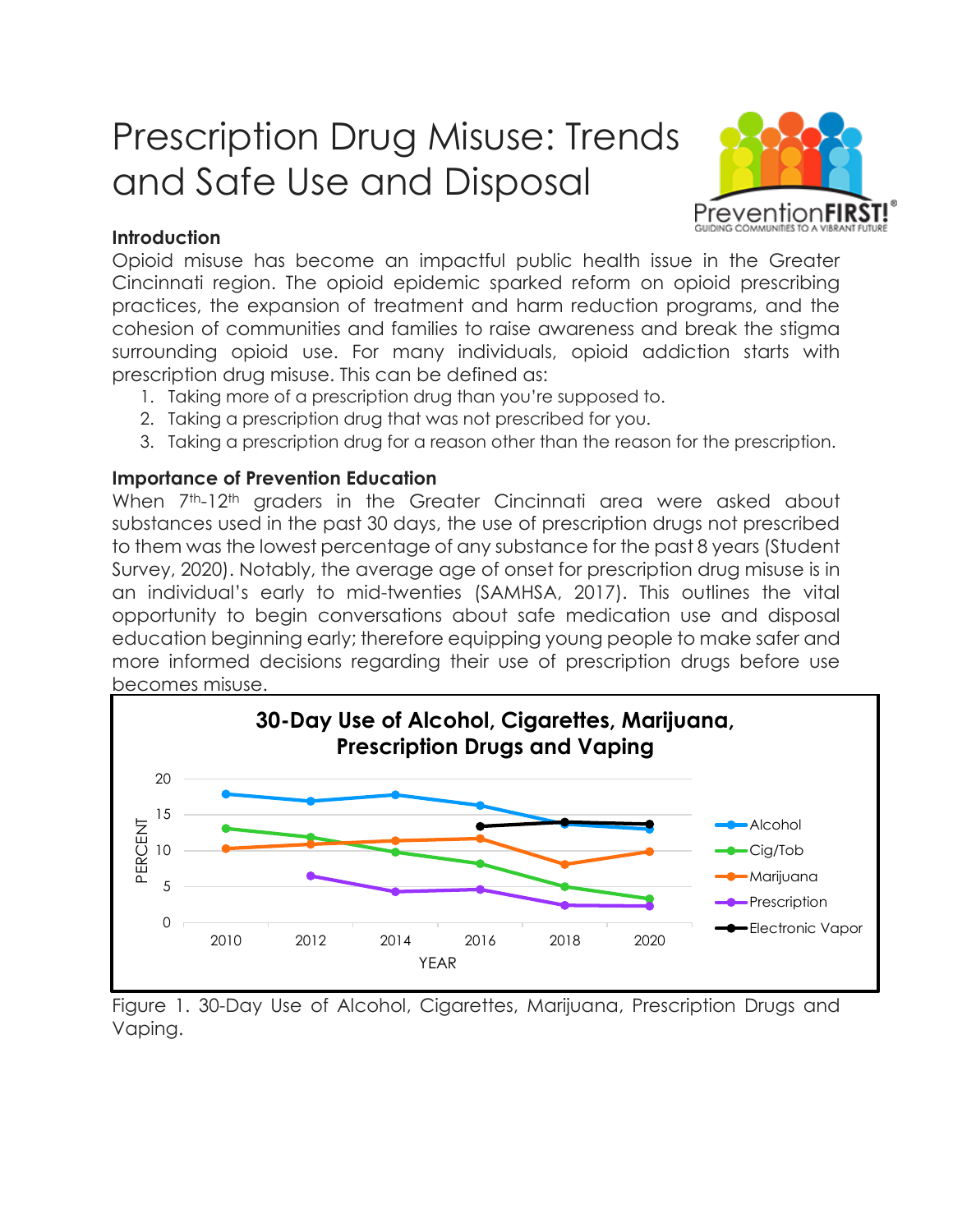# Prescription Drug Misuse: Trends and Safe Use and Disposal



## **Introduction**

Opioid misuse has become an impactful public health issue in the Greater Cincinnati region. The opioid epidemic sparked reform on opioid prescribing practices, the expansion of treatment and harm reduction programs, and the cohesion of communities and families to raise awareness and break the stigma surrounding opioid use. For many individuals, opioid addiction starts with prescription drug misuse. This can be defined as:

- 1. Taking more of a prescription drug than you're supposed to.
- 2. Taking a prescription drug that was not prescribed for you.
- 3. Taking a prescription drug for a reason other than the reason for the prescription.

# **Importance of Prevention Education**

When 7<sup>th</sup>-12<sup>th</sup> graders in the Greater Cincinnati area were asked about substances used in the past 30 days, the use of prescription drugs not prescribed to them was the lowest percentage of any substance for the past 8 years (Student Survey, 2020). Notably, the average age of onset for prescription drug misuse is in an individual's early to mid-twenties (SAMHSA, 2017). This outlines the vital opportunity to begin conversations about safe medication use and disposal education beginning early; therefore equipping young people to make safer and more informed decisions regarding their use of prescription drugs before use becomes misuse.



Figure 1. 30-Day Use of Alcohol, Cigarettes, Marijuana, Prescription Drugs and Vaping.